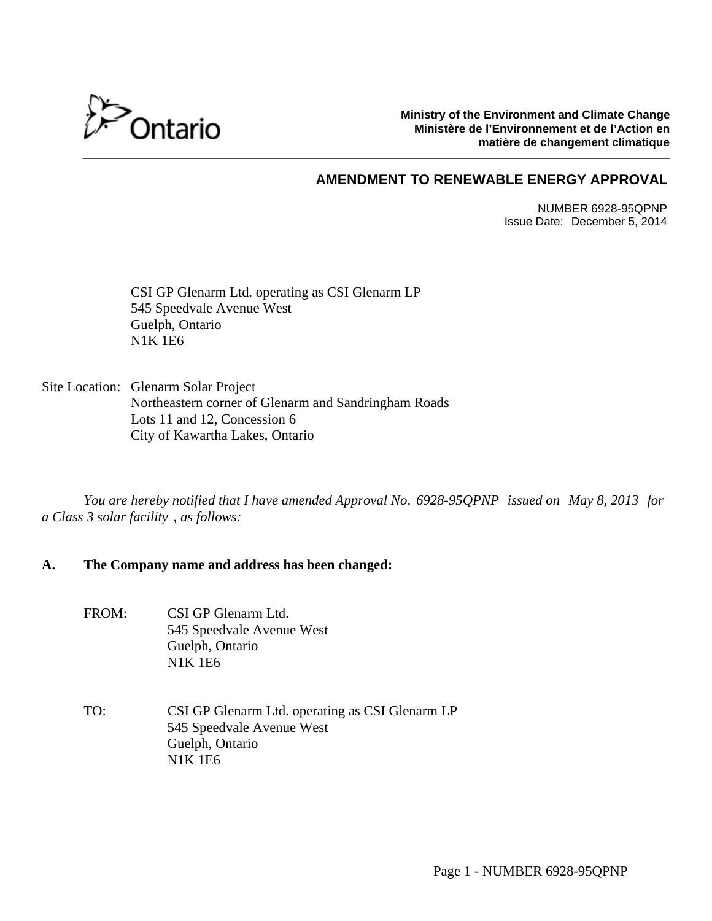

**Ministry of the Environment and Climate Change Ministère de l'Environnement et de l'Action en matière de changement climatique**

# **AMENDMENT TO RENEWABLE ENERGY APPROVAL**

NUMBER 6928-95QPNP Issue Date: December 5, 2014

CSI GP Glenarm Ltd. operating as CSI Glenarm LP 545 Speedvale Avenue West Guelph, Ontario N1K 1E6

Site Location: Glenarm Solar Project Northeastern corner of Glenarm and Sandringham Roads Lots 11 and 12, Concession 6 City of Kawartha Lakes, Ontario

*You are hereby notified that I have amended Approval No. 6928-95QPNP issued on May 8, 2013 for a Class 3 solar facility , as follows:*

### **A. The Company name and address has been changed:**

- FROM: CSI GP Glenarm Ltd. 545 Speedvale Avenue West Guelph, Ontario N1K 1E6
- TO: CSI GP Glenarm Ltd. operating as CSI Glenarm LP 545 Speedvale Avenue West Guelph, Ontario N1K 1E6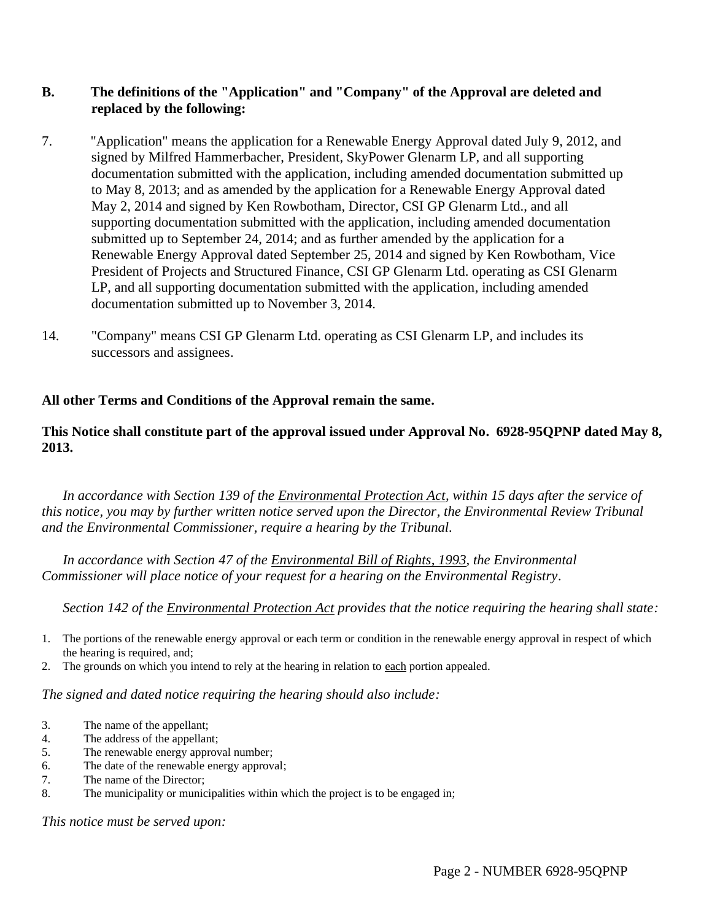# **B. The definitions of the "Application" and "Company" of the Approval are deleted and replaced by the following:**

- 7. "Application" means the application for a Renewable Energy Approval dated July 9, 2012, and signed by Milfred Hammerbacher, President, SkyPower Glenarm LP, and all supporting documentation submitted with the application, including amended documentation submitted up to May 8, 2013; and as amended by the application for a Renewable Energy Approval dated May 2, 2014 and signed by Ken Rowbotham, Director, CSI GP Glenarm Ltd., and all supporting documentation submitted with the application, including amended documentation submitted up to September 24, 2014; and as further amended by the application for a Renewable Energy Approval dated September 25, 2014 and signed by Ken Rowbotham, Vice President of Projects and Structured Finance, CSI GP Glenarm Ltd. operating as CSI Glenarm LP, and all supporting documentation submitted with the application, including amended documentation submitted up to November 3, 2014.
- 14. "Company" means CSI GP Glenarm Ltd. operating as CSI Glenarm LP, and includes its successors and assignees.

# **All other Terms and Conditions of the Approval remain the same.**

### **This Notice shall constitute part of the approval issued under Approval No. 6928-95QPNP dated May 8, 2013.**

*In accordance with Section 139 of the Environmental Protection Act, within 15 days after the service of this notice, you may by further written notice served upon the Director, the Environmental Review Tribunal and the Environmental Commissioner, require a hearing by the Tribunal.* 

*In accordance with Section 47 of the Environmental Bill of Rights, 1993, the Environmental Commissioner will place notice of your request for a hearing on the Environmental Registry.* 

*Section 142 of the Environmental Protection Act provides that the notice requiring the hearing shall state:* 

- 1. The portions of the renewable energy approval or each term or condition in the renewable energy approval in respect of which the hearing is required, and;
- 2. The grounds on which you intend to rely at the hearing in relation to each portion appealed.

*The signed and dated notice requiring the hearing should also include:* 

- 3. The name of the appellant;
- 4. The address of the appellant;
- 5. The renewable energy approval number;
- 6. The date of the renewable energy approval;
- 7. The name of the Director;
- 8. The municipality or municipalities within which the project is to be engaged in;

*This notice must be served upon:*